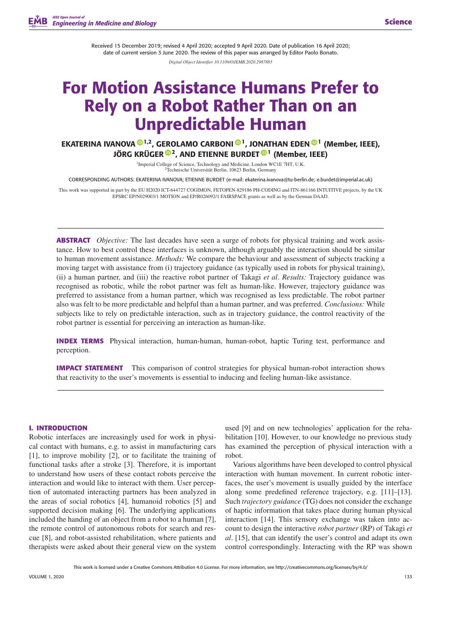Received 15 December 2019; revised 4 April 2020; accepted 9 April 2020. Date of publication 16 April 2020; date of current version 3 June 2020. The review of this paper was arranged by Editor Paolo Bonato. *Digital Object Identifier 10.1109/OJEMB.2020.2987885*

# **For Motion Assistance Humans Prefer to Rely on a Robot Rather Than on an Unpredictable Human**

**EKATERINA IVANOVA [1](https://orcid.org/0000-0003-3024-093X),2, GEROLAMO CARBONI [1](https://orcid.org/0000-0002-5234-066X), JONATHAN EDEN [1](https://orcid.org/0000-0003-0733-265X) (Member, IEEE), JÖRG KRÜGER [2](https://orcid.org/0000-0001-5138-0793), AND ETIENNE BURDET [1](https://orcid.org/0000-0002-2123-0185) (Member, IEEE)**

> 1Imperial College of Science, Technology and Medicine, London WC1E 7HT, U.K. 2Technische Universität Berlin, 10623 Berlin, Germany

CORRESPONDING AUTHORS: EKATERINA IVANOVA; ETIENNE BURDET (e-mail: [ekaterina.ivanova@tu-berlin.de;](mailto:ekaterina.ivanova@tu-berlin.de) [e.burdet@imperial.ac.uk\)](mailto:e.burdet@imperial.ac.uk)

This work was supported in part by the EU H2020 ICT-644727 COGIMON, FETOPEN-829186 PH-CODING and ITN-861166 INTUITIVE projects, by the UK EPSRC EP/N029003/1 MOTION and EP/R026092/1 FAIRSPACE grants as well as by the German DAAD.

**ABSTRACT** *Objective:* The last decades have seen a surge of robots for physical training and work assistance. How to best control these interfaces is unknown, although arguably the interaction should be similar to human movement assistance. *Methods:* We compare the behaviour and assessment of subjects tracking a moving target with assistance from (i) trajectory guidance (as typically used in robots for physical training), (ii) a human partner, and (iii) the reactive robot partner of Takagi *et al*. *Results:* Trajectory guidance was recognised as robotic, while the robot partner was felt as human-like. However, trajectory guidance was preferred to assistance from a human partner, which was recognised as less predictable. The robot partner also was felt to be more predictable and helpful than a human partner, and was preferred. *Conclusions:* While subjects like to rely on predictable interaction, such as in trajectory guidance, the control reactivity of the robot partner is essential for perceiving an interaction as human-like.

**INDEX TERMS** Physical interaction, human-human, human-robot, haptic Turing test, performance and perception.

**IMPACT STATEMENT** This comparison of control strategies for physical human-robot interaction shows that reactivity to the user's movements is essential to inducing and feeling human-like assistance.

#### **I. INTRODUCTION**

Robotic interfaces are increasingly used for work in physical contact with humans, e.g. to assist in manufacturing cars [1], to improve mobility [2], or to facilitate the training of functional tasks after a stroke [3]. Therefore, it is important to understand how users of these contact robots perceive the interaction and would like to interact with them. User perception of automated interacting partners has been analyzed in the areas of social robotics [4], humanoid robotics [5] and supported decision making [6]. The underlying applications included the handing of an object from a robot to a human [7], the remote control of autonomous robots for search and rescue [8], and robot-assisted rehabilitation, where patients and therapists were asked about their general view on the system

used [9] and on new technologies' application for the rehabilitation [10]. However, to our knowledge no previous study has examined the perception of physical interaction with a robot.

Various algorithms have been developed to control physical interaction with human movement. In current robotic interfaces, the user's movement is usually guided by the interface along some predefined reference trajectory, e.g. [11]–[13]. Such *trajectory guidance* (TG) does not consider the exchange of haptic information that takes place during human physical interaction [14]. This sensory exchange was taken into account to design the interactive *robot partner* (RP) of Takagi *et al*. [15], that can identify the user's control and adapt its own control correspondingly. Interacting with the RP was shown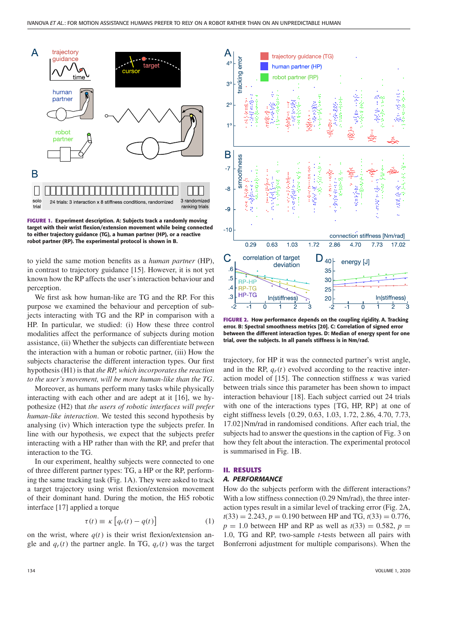

**FIGURE 1. Experiment description. A: Subjects track a randomly moving target with their wrist flexion/extension movement while being connected to either trajectory guidance (TG), a human partner (HP), or a reactive robot partner (RP). The experimental protocol is shown in B.**

to yield the same motion benefits as a *human partner* (HP), in contrast to trajectory guidance [15]. However, it is not yet known how the RP affects the user's interaction behaviour and perception.

We first ask how human-like are TG and the RP. For this purpose we examined the behaviour and perception of subjects interacting with TG and the RP in comparison with a HP. In particular, we studied: (i) How these three control modalities affect the performance of subjects during motion assistance, (ii) Whether the subjects can differentiate between the interaction with a human or robotic partner, (iii) How the subjects characterise the different interaction types. Our first hypothesis (H1) is that *the RP, which incorporates the reaction to the user's movement, will be more human-like than the TG*.

Moreover, as humans perform many tasks while physically interacting with each other and are adept at it [16], we hypothesize (H2) that *the users of robotic interfaces will prefer human-like interaction*. We tested this second hypothesis by analysing (iv) Which interaction type the subjects prefer. In line with our hypothesis, we expect that the subjects prefer interacting with a HP rather than with the RP, and prefer that interaction to the TG.

In our experiment, healthy subjects were connected to one of three different partner types: TG, a HP or the RP, performing the same tracking task (Fig. 1A). They were asked to track a target trajectory using wrist flexion/extension movement of their dominant hand. During the motion, the Hi5 robotic interface [17] applied a torque

$$
\tau(t) \equiv \kappa \left[ q_r(t) - q(t) \right] \tag{1}
$$

on the wrist, where  $q(t)$  is their wrist flexion/extension angle and  $q_r(t)$  the partner angle. In TG,  $q_r(t)$  was the target



**FIGURE 2. How performance depends on the coupling rigidity. A. Tracking error. B: Spectral smoothness metrics [20]. C: Correlation of signed error between the different interaction types. D: Median of energy spent for one trial, over the subjects. In all panels stiffness is in Nm/rad.**

trajectory, for HP it was the connected partner's wrist angle, and in the RP,  $q_r(t)$  evolved according to the reactive interaction model of [15]. The connection stiffness  $\kappa$  was varied between trials since this parameter has been shown to impact interaction behaviour [18]. Each subject carried out 24 trials with one of the interactions types {TG, HP, RP} at one of eight stiffness levels {0.29, 0.63, 1.03, 1.72, 2.86, 4.70, 7.73, 17.02}Nm/rad in randomised conditions. After each trial, the subjects had to answer the questions in the caption of Fig. 3 on how they felt about the interaction. The experimental protocol is summarised in Fig. 1B.

# **II. RESULTS**

#### *A. PERFORMANCE*

How do the subjects perform with the different interactions? With a low stiffness connection (0.29 Nm/rad), the three interaction types result in a similar level of tracking error (Fig. 2A,  $t(33) = 2.243$ ,  $p = 0.190$  between HP and TG,  $t(33) = 0.776$ ,  $p = 1.0$  between HP and RP as well as  $t(33) = 0.582$ ,  $p =$ 1.0, TG and RP, two-sample *t*-tests between all pairs with Bonferroni adjustment for multiple comparisons). When the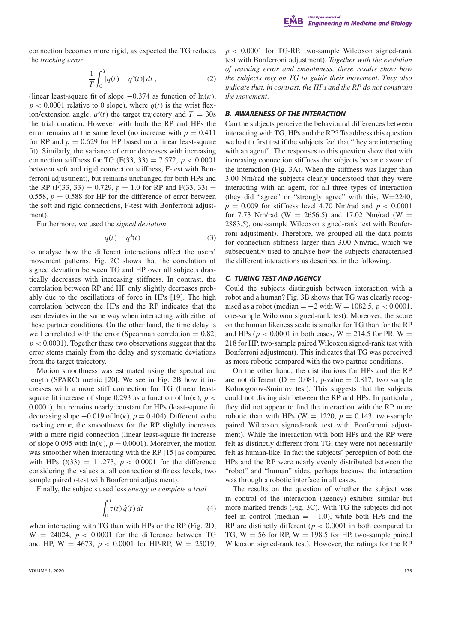connection becomes more rigid, as expected the TG reduces the *tracking error*

$$
\frac{1}{T} \int_0^T |q(t) - q^*(t)| \, dt \,, \tag{2}
$$

(linear least-square fit of slope  $-0.374$  as function of  $ln(\kappa)$ ,  $p < 0.0001$  relative to 0 slope), where  $q(t)$  is the wrist flexion/extension angle,  $q^*(t)$  the target trajectory and  $T = 30s$ the trial duration. However with both the RP and HPs the error remains at the same level (no increase with  $p = 0.411$ ) for RP and  $p = 0.629$  for HP based on a linear least-square fit). Similarly, the variance of error decreases with increasing connection stiffness for TG (F(33, 33) = 7.572,  $p < 0.0001$ between soft and rigid connection stiffness, F-test with Bonferroni adjustment), but remains unchanged for both HPs and the RP (F(33, 33) = 0.729,  $p = 1.0$  for RP and F(33, 33) = 0.558,  $p = 0.588$  for HP for the difference of error between the soft and rigid connections, F-test with Bonferroni adjustment).

Furthermore, we used the *signed deviation*

$$
q(t) - q^*(t) \tag{3}
$$

to analyse how the different interactions affect the users' movement patterns. Fig. 2C shows that the correlation of signed deviation between TG and HP over all subjects drastically decreases with increasing stiffness. In contrast, the correlation between RP and HP only slightly decreases probably due to the oscillations of force in HPs [19]. The high correlation between the HPs and the RP indicates that the user deviates in the same way when interacting with either of these partner conditions. On the other hand, the time delay is well correlated with the error (Spearman correlation  $= 0.82$ ,  $p < 0.0001$ ). Together these two observations suggest that the error stems mainly from the delay and systematic deviations from the target trajectory.

Motion smoothness was estimated using the spectral arc length (SPARC) metric [20]. We see in Fig. 2B how it increases with a more stiff connection for TG (linear leastsquare fit increase of slope 0.293 as a function of  $ln(\kappa)$ , *p* < 0.0001), but remains nearly constant for HPs (least-square fit decreasing slope  $-0.019$  of  $\ln(\kappa)$ ,  $p = 0.404$ ). Different to the tracking error, the smoothness for the RP slightly increases with a more rigid connection (linear least-square fit increase of slope 0.095 with  $ln(\kappa)$ ,  $p = 0.0001$ ). Moreover, the motion was smoother when interacting with the RP [15] as compared with HPs  $(t(33) = 11.273, p < 0.0001$  for the difference considering the values at all connection stiffness levels, two sample paired *t*-test with Bonferroni adjustment).

Finally, the subjects used less *energy to complete a trial*

$$
\int_0^T \tau(t) \, \dot{q}(t) \, dt \tag{4}
$$

when interacting with TG than with HPs or the RP (Fig. 2D,  $W = 24024$ ,  $p < 0.0001$  for the difference between TG and HP,  $W = 4673$ ,  $p < 0.0001$  for HP-RP,  $W = 25019$ ,  $p < 0.0001$  for TG-RP, two-sample Wilcoxon signed-rank test with Bonferroni adjustment). *Together with the evolution of tracking error and smoothness, these results show how the subjects rely on TG to guide their movement. They also indicate that, in contrast, the HPs and the RP do not constrain the movement*.

# *B. AWARENESS OF THE INTERACTION*

Can the subjects perceive the behavioural differences between interacting with TG, HPs and the RP? To address this question we had to first test if the subjects feel that "they are interacting with an agent". The responses to this question show that with increasing connection stiffness the subjects became aware of the interaction (Fig. 3A). When the stiffness was larger than 3.00 Nm/rad the subjects clearly understood that they were interacting with an agent, for all three types of interaction (they did "agree" or "strongly agree" with this,  $W=2240$ ,  $p = 0.009$  for stiffness level 4.70 Nm/rad and  $p < 0.0001$ for 7.73 Nm/rad (W = 2656.5) and 17.02 Nm/rad (W = 2883.5), one-sample Wilcoxon signed-rank test with Bonferroni adjustment). Therefore, we grouped all the data points for connection stiffness larger than 3.00 Nm/rad, which we subsequently used to analyse how the subjects characterised the different interactions as described in the following.

# *C. TURING TEST AND AGENCY*

Could the subjects distinguish between interaction with a robot and a human? Fig. 3B shows that TG was clearly recognised as a robot (median =  $-2$  with W = 1082.5, *p* < 0.0001, one-sample Wilcoxon signed-rank test). Moreover, the score on the human likeness scale is smaller for TG than for the RP and HPs ( $p < 0.0001$  in both cases,  $W = 214.5$  for PR,  $W =$ 218 for HP, two-sample paired Wilcoxon signed-rank test with Bonferroni adjustment). This indicates that TG was perceived as more robotic compared with the two partner conditions.

On the other hand, the distributions for HPs and the RP are not different ( $D = 0.081$ , p-value = 0.817, two sample Kolmogorov-Smirnov test). This suggests that the subjects could not distinguish between the RP and HPs. In particular, they did not appear to find the interaction with the RP more robotic than with HPs ( $W = 1220$ ,  $p = 0.143$ , two-sample paired Wilcoxon signed-rank test with Bonferroni adjustment). While the interaction with both HPs and the RP were felt as distinctly different from TG, they were not necessarily felt as human-like. In fact the subjects' perception of both the HPs and the RP were nearly evenly distributed between the "robot" and "human" sides, perhaps because the interaction was through a robotic interface in all cases.

The results on the question of whether the subject was in control of the interaction (agency) exhibits similar but more marked trends (Fig. 3C). With TG the subjects did not feel in control (median  $= -1.0$ ), while both HPs and the RP are distinctly different ( $p < 0.0001$  in both compared to TG,  $W = 56$  for RP,  $W = 198.5$  for HP, two-sample paired Wilcoxon signed-rank test). However, the ratings for the RP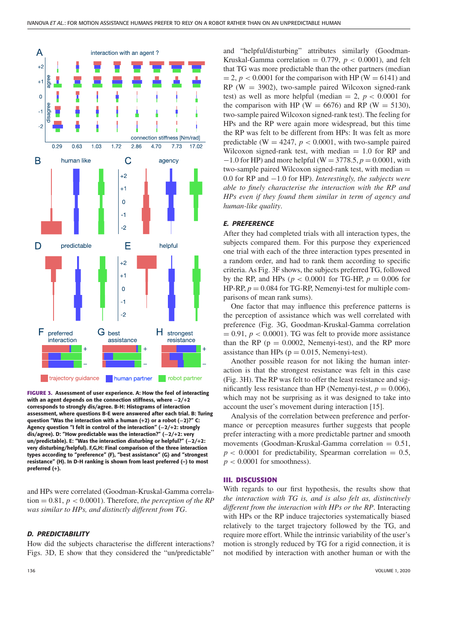

**FIGURE 3. Assessment of user experience. A: How the feel of interacting with an agent depends on the connection stiffness, where −2/+2 corresponds to strongly dis/agree. B-H: Histograms of interaction assessment, where questions B-E were answered after each trial. B: Turing question "Was the interaction with a human (+2) or a robot (−2)?" C: Agency question "I felt in control of the interaction" (−2/+2: strongly dis/agree). D: "How predictable was the interaction?" (−2/+2: very un/predictable). E: "Was the interaction disturbing or helpful?" (−2/+2: very disturbing/helpful). F,G,H: Final comparison of the three interaction types according to "preference" (F), "best assistance" (G) and "strongest resistance" (H). In D-H ranking is shown from least preferred (–) to most preferred (+).**

and HPs were correlated (Goodman-Kruskal-Gamma correlation = 0.81, *p* < 0.0001). Therefore, *the perception of the RP was similar to HPs, and distinctly different from TG*.

## *D. PREDICTABILITY*

How did the subjects characterise the different interactions? Figs. 3D, E show that they considered the "un/predictable"

and "helpful/disturbing" attributes similarly (Goodman-Kruskal-Gamma correlation =  $0.779$ ,  $p < 0.0001$ ), and felt that TG was more predictable than the other partners (median  $= 2$ ,  $p < 0.0001$  for the comparison with HP (W  $= 6141$ ) and  $RP$  (W = 3902), two-sample paired Wilcoxon signed-rank test) as well as more helpful (median  $= 2$ ,  $p < 0.0001$  for the comparison with HP (W = 6676) and RP (W = 5130), two-sample paired Wilcoxon signed-rank test). The feeling for HPs and the RP were again more widespread, but this time the RP was felt to be different from HPs: It was felt as more predictable ( $W = 4247$ ,  $p < 0.0001$ , with two-sample paired Wilcoxon signed-rank test, with median  $= 1.0$  for RP and −1.0 for HP) and more helpful (W = 3778.5, *p* = 0.0001, with two-sample paired Wilcoxon signed-rank test, with median = 0.0 for RP and −1.0 for HP). *Interestingly, the subjects were able to finely characterise the interaction with the RP and HPs even if they found them similar in term of agency and human-like quality*.

# *E. PREFERENCE*

After they had completed trials with all interaction types, the subjects compared them. For this purpose they experienced one trial with each of the three interaction types presented in a random order, and had to rank them according to specific criteria. As Fig. 3F shows, the subjects preferred TG, followed by the RP, and HPs (*p* < 0.0001 for TG-HP, *p* = 0.006 for HP-RP,  $p = 0.084$  for TG-RP, Nemenyi-test for multiple comparisons of mean rank sums).

One factor that may influence this preference patterns is the perception of assistance which was well correlated with preference (Fig. 3G, Goodman-Kruskal-Gamma correlation  $= 0.91, p < 0.0001$ ). TG was felt to provide more assistance than the RP ( $p = 0.0002$ , Nemenyi-test), and the RP more assistance than HPs ( $p = 0.015$ , Nemenyi-test).

Another possible reason for not liking the human interaction is that the strongest resistance was felt in this case (Fig. 3H). The RP was felt to offer the least resistance and significantly less resistance than HP (Nemenyi-test,  $p = 0.006$ ), which may not be surprising as it was designed to take into account the user's movement during interaction [15].

Analysis of the correlation between preference and performance or perception measures further suggests that people prefer interacting with a more predictable partner and smooth movements (Goodman-Kruskal-Gamma correlation  $= 0.51$ ,  $p < 0.0001$  for predictability, Spearman correlation = 0.5,  $p < 0.0001$  for smoothness).

## **III. DISCUSSION**

With regards to our first hypothesis, the results show that *the interaction with TG is, and is also felt as, distinctively different from the interaction with HPs or the RP*. Interacting with HPs or the RP induce trajectories systematically biased relatively to the target trajectory followed by the TG, and require more effort. While the intrinsic variability of the user's motion is strongly reduced by TG for a rigid connection, it is not modified by interaction with another human or with the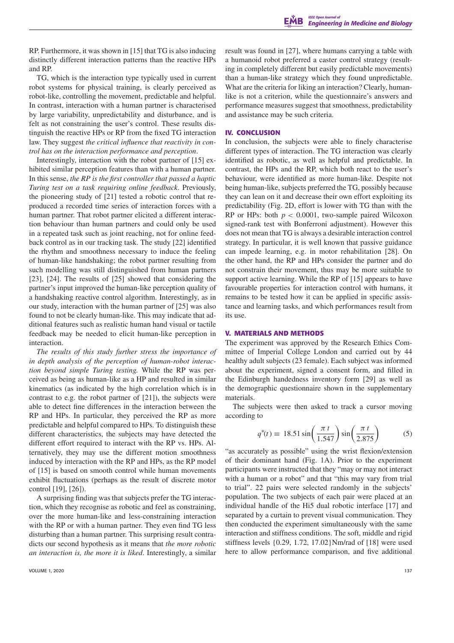RP. Furthermore, it was shown in [15] that TG is also inducing distinctly different interaction patterns than the reactive HPs and RP.

TG, which is the interaction type typically used in current robot systems for physical training, is clearly perceived as robot-like, controlling the movement, predictable and helpful. In contrast, interaction with a human partner is characterised by large variability, unpredictability and disturbance, and is felt as not constraining the user's control. These results distinguish the reactive HPs or RP from the fixed TG interaction law. They suggest *the critical influence that reactivity in control has on the interaction performance and perception*.

Interestingly, interaction with the robot partner of [15] exhibited similar perception features than with a human partner. In this sense, *the RP is the first controller that passed a haptic Turing test on a task requiring online feedback*. Previously, the pioneering study of [21] tested a robotic control that reproduced a recorded time series of interaction forces with a human partner. That robot partner elicited a different interaction behaviour than human partners and could only be used in a repeated task such as joint reaching, not for online feedback control as in our tracking task. The study [22] identified the rhythm and smoothness necessary to induce the feeling of human-like handshaking; the robot partner resulting from such modelling was still distinguished from human partners [23], [24]. The results of [25] showed that considering the partner's input improved the human-like perception quality of a handshaking reactive control algorithm. Interestingly, as in our study, interaction with the human partner of [25] was also found to not be clearly human-like. This may indicate that additional features such as realistic human hand visual or tactile feedback may be needed to elicit human-like perception in interaction.

*The results of this study further stress the importance of in depth analysis of the perception of human-robot interaction beyond simple Turing testing.* While the RP was perceived as being as human-like as a HP and resulted in similar kinematics (as indicated by the high correlation which is in contrast to e.g. the robot partner of [21]), the subjects were able to detect fine differences in the interaction between the RP and HPs. In particular, they perceived the RP as more predictable and helpful compared to HPs. To distinguish these different characteristics, the subjects may have detected the different effort required to interact with the RP vs. HPs. Alternatively, they may use the different motion smoothness induced by interaction with the RP and HPs, as the RP model of [15] is based on smooth control while human movements exhibit fluctuations (perhaps as the result of discrete motor control [19], [26]).

A surprising finding was that subjects prefer the TG interaction, which they recognise as robotic and feel as constraining, over the more human-like and less-constraining interaction with the RP or with a human partner. They even find TG less disturbing than a human partner. This surprising result contradicts our second hypothesis as it means that *the more robotic an interaction is, the more it is liked*. Interestingly, a similar

VOLUME 1, 2020 137

result was found in [27], where humans carrying a table with a humanoid robot preferred a caster control strategy (resulting in completely different but easily predictable movements) than a human-like strategy which they found unpredictable. What are the criteria for liking an interaction? Clearly, humanlike is not a criterion, while the questionnaire's answers and performance measures suggest that smoothness, predictability and assistance may be such criteria.

## **IV. CONCLUSION**

In conclusion, the subjects were able to finely characterise different types of interaction. The TG interaction was clearly identified as robotic, as well as helpful and predictable. In contrast, the HPs and the RP, which both react to the user's behaviour, were identified as more human-like. Despite not being human-like, subjects preferred the TG, possibly because they can lean on it and decrease their own effort exploiting its predictability (Fig. 2D, effort is lower with TG than with the RP or HPs: both  $p < 0.0001$ , two-sample paired Wilcoxon signed-rank test with Bonferroni adjustment). However this does not mean that TG is always a desirable interaction control strategy. In particular, it is well known that passive guidance can impede learning, e.g. in motor rehabilitation [28]. On the other hand, the RP and HPs consider the partner and do not constrain their movement, thus may be more suitable to support active learning. While the RP of [15] appears to have favourable properties for interaction control with humans, it remains to be tested how it can be applied in specific assistance and learning tasks, and which performances result from its use.

#### **V. MATERIALS AND METHODS**

The experiment was approved by the Research Ethics Committee of Imperial College London and carried out by 44 healthy adult subjects (23 female). Each subject was informed about the experiment, signed a consent form, and filled in the Edinburgh handedness inventory form [29] as well as the demographic questionnaire shown in the supplementary materials.

The subjects were then asked to track a cursor moving according to

$$
q^*(t) \equiv 18.51 \sin\left(\frac{\pi t}{1.547}\right) \sin\left(\frac{\pi t}{2.875}\right) \tag{5}
$$

"as accurately as possible" using the wrist flexion/extension of their dominant hand (Fig. 1A). Prior to the experiment participants were instructed that they "may or may not interact with a human or a robot" and that "this may vary from trial to trial". 22 pairs were selected randomly in the subjects' population. The two subjects of each pair were placed at an individual handle of the Hi5 dual robotic interface [17] and separated by a curtain to prevent visual communication. They then conducted the experiment simultaneously with the same interaction and stiffness conditions. The soft, middle and rigid stiffness levels {0.29, 1.72, 17.02}Nm/rad of [18] were used here to allow performance comparison, and five additional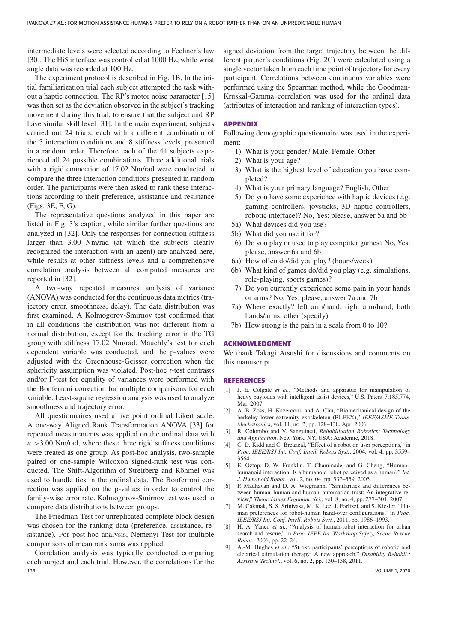intermediate levels were selected according to Fechner's law [30]. The Hi5 interface was controlled at 1000 Hz, while wrist angle data was recorded at 100 Hz.

The experiment protocol is described in Fig. 1B. In the initial familiarization trial each subject attempted the task without a haptic connection. The RP's motor noise parameter [15] was then set as the deviation observed in the subject's tracking movement during this trial, to ensure that the subject and RP have similar skill level [31]. In the main experiment, subjects carried out 24 trials, each with a different combination of the 3 interaction conditions and 8 stiffness levels, presented in a random order. Therefore each of the 44 subjects experienced all 24 possible combinations. Three additional trials with a rigid connection of 17.02 Nm/rad were conducted to compare the three interaction conditions presented in random order. The participants were then asked to rank these interactions according to their preference, assistance and resistance (Figs. 3E, F, G).

The representative questions analyzed in this paper are listed in Fig. 3's caption, while similar further questions are analyzed in [32]. Only the responses for connection stiffness larger than 3.00 Nm/rad (at which the subjects clearly recognized the interaction with an agent) are analyzed here, while results at other stiffness levels and a comprehensive correlation analysis between all computed measures are reported in [32].

A two-way repeated measures analysis of variance (ANOVA) was conducted for the continuous data metrics (trajectory error, smoothness, delay). The data distribution was first examined. A Kolmogorov-Smirnov test confirmed that in all conditions the distribution was not different from a normal distribution, except for the tracking error in the TG group with stiffness 17.02 Nm/rad. Mauchly's test for each dependent variable was conducted, and the p-values were adjusted with the Greenhouse-Geisser correction when the sphericity assumption was violated. Post-hoc *t*-test contrasts and/or F-test for equality of variances were performed with the Bonferroni correction for multiple comparisons for each variable. Least-square regression analysis was used to analyze smoothness and trajectory error.

All questionnaires used a five point ordinal Likert scale. A one-way Aligned Rank Transformation ANOVA [33] for repeated measurements was applied on the ordinal data with  $\kappa$  >3.00 Nm/rad, where these three rigid stiffness conditions were treated as one group. As post-hoc analysis, two-sample paired or one-sample Wilcoxon signed-rank test was conducted. The Shift-Algorithm of Streitberg and Röhmel was used to handle ties in the ordinal data. The Bonferroni correction was applied on the p-values in order to control the family-wise error rate. Kolmogorov-Smirnov test was used to compare data distributions between groups.

The Friedman-Test for unreplicated complete block design was chosen for the ranking data (preference, assistance, resistance). For post-hoc analysis, Nemenyi-Test for multiple comparisons of mean rank sums was applied.

Correlation analysis was typically conducted comparing each subject and each trial. However, the correlations for the 138 VOLUME 1, 2020

signed deviation from the target trajectory between the different partner's conditions (Fig. 2C) were calculated using a single vector taken from each time point of trajectory for every participant. Correlations between continuous variables were performed using the Spearman method, while the Goodman-Kruskal-Gamma correlation was used for the ordinal data (attributes of interaction and ranking of interaction types).

#### **APPENDIX**

Following demographic questionnaire was used in the experiment:

- 1) What is your gender? Male, Female, Other
- 2) What is your age?
- 3) What is the highest level of education you have completed?
- 4) What is your primary language? English, Other
- 5) Do you have some experience with haptic devices (e.g. gaming controllers, joysticks, 3D haptic controllers, robotic interface)? No, Yes: please, answer 5a and 5b
- 5a) What devices did you use?
- 5b) What did you use it for?
- 6) Do you play or used to play computer games? No, Yes: please, answer 6a and 6b
- 6a) How often do/did you play? (hours/week)
- 6b) What kind of games do/did you play (e.g. simulations, role-playing, sports games)?
- 7) Do you currently experience some pain in your hands or arms? No, Yes: please, answer 7a and 7b
- 7a) Where exactly? left arm/hand, right arm/hand, both hands/arms, other (specify)
- 7b) How strong is the pain in a scale from 0 to 10?

## **ACKNOWLEDGMENT**

We thank Takagi Atsushi for discussions and comments on this manuscript.

#### **REFERENCES**

- [1] J. E. Colgate *et al.*, "Methods and apparatus for manipulation of heavy payloads with intelligent assist devices," U.S. Patent 7,185,774, Mar. 2007.
- [2] A. B. Zoss, H. Kazerooni, and A. Chu, "Biomechanical design of the berkeley lower extremity exoskeleton (BLEEX)," *IEEE/ASME Trans. Mechatronics*, vol. 11, no. 2, pp. 128–138, Apr. 2006.
- [3] R. Colombo and V. Sanguineti, *Rehabilitation Robotics: Technology and Application*. New York, NY, USA: Academic, 2018.
- [4] C. D. Kidd and C. Breazeal, "Effect of a robot on user perceptions," in *Proc. IEEE/RSJ Int. Conf. Intell. Robots Syst.*, 2004, vol. 4, pp. 3559– 3564.
- [5] E. Oztop, D. W. Franklin, T. Chaminade, and G. Cheng, "Human– humanoid interaction: Is a humanoid robot perceived as a human?" *Int. J. Humanoid Robot.*, vol. 2, no. 04, pp. 537–559, 2005.
- [6] P. Madhavan and D. A. Wiegmann, "Similarities and differences between human–human and human–automation trust: An integrative review," *Theor. Issues Ergonom. Sci.*, vol. 8, no. 4, pp. 277–301, 2007.
- [7] M. Cakmak, S. S. Srinivasa, M. K. Lee, J. Forlizzi, and S. Kiesler, "Human preferences for robot-human hand-over configurations," in *Proc. IEEE/RSJ Int. Conf. Intell. Robots Syst.*, 2011, pp. 1986–1993.
- [8] H. A. Yanco *et al.*, "Analysis of human-robot interaction for urban search and rescue," in *Proc. IEEE Int. Workshop Safety, Secur. Rescue Robot.*, 2006, pp. 22–24.
- [9] A.-M. Hughes *et al.*, "Stroke participants' perceptions of robotic and electrical stimulation therapy: A new approach," *Disability Rehabil.: Assistive Technol.*, vol. 6, no. 2, pp. 130–138, 2011.